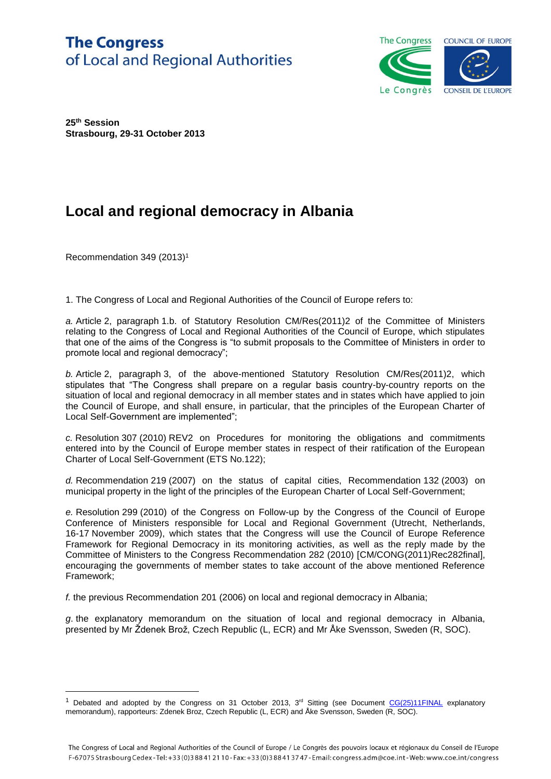## **The Congress** of Local and Regional Authorities



**25th Session Strasbourg, 29-31 October 2013**

## **Local and regional democracy in Albania**

Recommendation 349 (2013)<sup>1</sup>

 $\overline{a}$ 

1. The Congress of Local and Regional Authorities of the Council of Europe refers to:

*a.* Article 2, paragraph 1.b. of Statutory Resolution CM/Res(2011)2 of the Committee of Ministers relating to the Congress of Local and Regional Authorities of the Council of Europe, which stipulates that one of the aims of the Congress is "to submit proposals to the Committee of Ministers in order to promote local and regional democracy";

*b.* Article 2, paragraph 3, of the above-mentioned Statutory Resolution CM/Res(2011)2, which stipulates that "The Congress shall prepare on a regular basis country-by-country reports on the situation of local and regional democracy in all member states and in states which have applied to join the Council of Europe, and shall ensure, in particular, that the principles of the European Charter of Local Self-Government are implemented";

*c.* Resolution 307 (2010) REV2 on Procedures for monitoring the obligations and commitments entered into by the Council of Europe member states in respect of their ratification of the European Charter of Local Self-Government (ETS No.122);

*d.* Recommendation 219 (2007) on the status of capital cities, Recommendation 132 (2003) on municipal property in the light of the principles of the European Charter of Local Self-Government;

*e.* Resolution 299 (2010) of the Congress on Follow-up by the Congress of the Council of Europe Conference of Ministers responsible for Local and Regional Government (Utrecht, Netherlands, 16-17 November 2009), which states that the Congress will use the Council of Europe Reference Framework for Regional Democracy in its monitoring activities, as well as the reply made by the Committee of Ministers to the Congress Recommendation 282 (2010) [CM/CONG(2011)Rec282final], encouraging the governments of member states to take account of the above mentioned Reference Framework;

*f.* the previous Recommendation 201 (2006) on local and regional democracy in Albania;

*g*. the explanatory memorandum on the situation of local and regional democracy in Albania, presented by Mr Ždenek Brož, Czech Republic (L, ECR) and Mr Åke Svensson, Sweden (R, SOC).

<sup>&</sup>lt;sup>1</sup> Debated and adopted by the Congress on 31 October 2013,  $3<sup>rd</sup>$  Sitting (see Document  $CG(25)11FINAL$  explanatory memorandum), rapporteurs: Zdenek Broz, Czech Republic (L, ECR) and Åke Svensson, Sweden (R, SOC).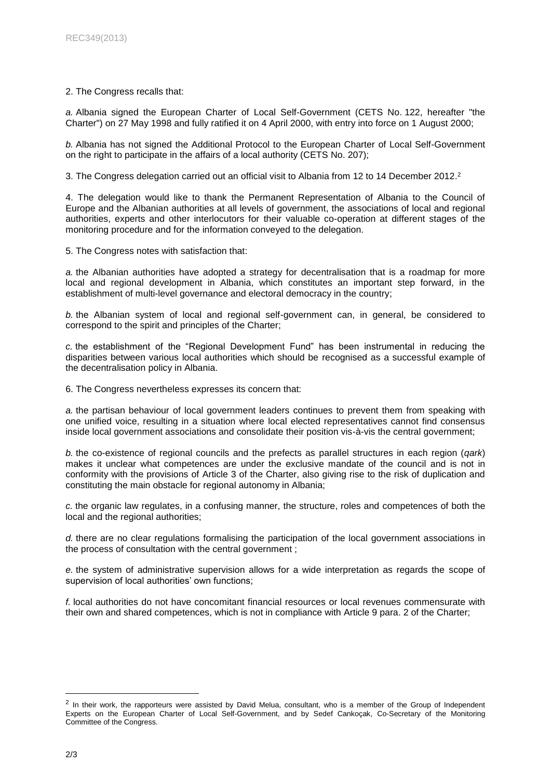## 2. The Congress recalls that:

*a.* Albania signed the European Charter of Local Self-Government (CETS No. 122, hereafter "the Charter") on 27 May 1998 and fully ratified it on 4 April 2000, with entry into force on 1 August 2000;

*b.* Albania has not signed the Additional Protocol to the European Charter of Local Self-Government on the right to participate in the affairs of a local authority (CETS No. 207);

3. The Congress delegation carried out an official visit to Albania from 12 to 14 December 2012. 2

4. The delegation would like to thank the Permanent Representation of Albania to the Council of Europe and the Albanian authorities at all levels of government, the associations of local and regional authorities, experts and other interlocutors for their valuable co-operation at different stages of the monitoring procedure and for the information conveyed to the delegation.

5. The Congress notes with satisfaction that:

*a.* the Albanian authorities have adopted a strategy for decentralisation that is a roadmap for more local and regional development in Albania, which constitutes an important step forward, in the establishment of multi-level governance and electoral democracy in the country;

*b.* the Albanian system of local and regional self-government can, in general, be considered to correspond to the spirit and principles of the Charter;

*c.* the establishment of the "Regional Development Fund" has been instrumental in reducing the disparities between various local authorities which should be recognised as a successful example of the decentralisation policy in Albania.

6. The Congress nevertheless expresses its concern that:

*a.* the partisan behaviour of local government leaders continues to prevent them from speaking with one unified voice, resulting in a situation where local elected representatives cannot find consensus inside local government associations and consolidate their position vis-à-vis the central government;

*b.* the co-existence of regional councils and the prefects as parallel structures in each region (*qark*) makes it unclear what competences are under the exclusive mandate of the council and is not in conformity with the provisions of Article 3 of the Charter, also giving rise to the risk of duplication and constituting the main obstacle for regional autonomy in Albania;

*c.* the organic law regulates, in a confusing manner, the structure, roles and competences of both the local and the regional authorities;

*d.* there are no clear regulations formalising the participation of the local government associations in the process of consultation with the central government ;

*e.* the system of administrative supervision allows for a wide interpretation as regards the scope of supervision of local authorities' own functions;

*f.* local authorities do not have concomitant financial resources or local revenues commensurate with their own and shared competences, which is not in compliance with Article 9 para. 2 of the Charter;

 $\overline{a}$ 

 $2$  In their work, the rapporteurs were assisted by David Melua, consultant, who is a member of the Group of Independent Experts on the European Charter of Local Self-Government, and by Sedef Cankoçak, Co-Secretary of the Monitoring Committee of the Congress.